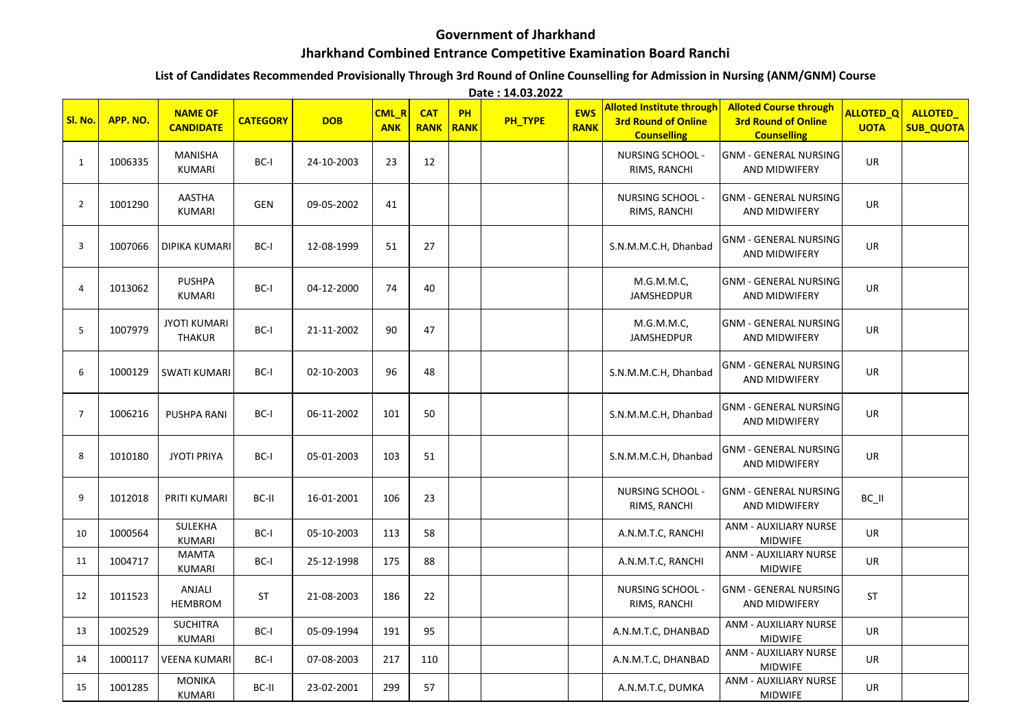## **Government of Jharkhand**

## **Jharkhand Combined Entrance Competitive Examination Board Ranchi**

## **List of Candidates Recommended Provisionally Through 3rd Round of Online Counselling for Admission in Nursing (ANM/GNM) Course**

**Date : 14.03.2022**

| Sl. No.        | APP. NO. | <b>NAME OF</b><br><b>CANDIDATE</b>   | <b>CATEGORY</b> | <b>DOB</b> | CML_R<br><b>ANK</b> | <b>CAT</b><br><b>RANK</b> | PH<br>RANK | PH_TYPE | <b>EWS</b><br><b>RANK</b> | <b>Alloted Institute through</b><br><b>3rd Round of Online</b><br><b>Counselling</b> | <b>Alloted Course through</b><br><b>3rd Round of Online</b><br><b>Counselling</b> | ALLOTED <sub>Q</sub><br><b>UOTA</b> | ALLOTED_<br><b>SUB_QUOTA</b> |
|----------------|----------|--------------------------------------|-----------------|------------|---------------------|---------------------------|------------|---------|---------------------------|--------------------------------------------------------------------------------------|-----------------------------------------------------------------------------------|-------------------------------------|------------------------------|
| $\mathbf{1}$   | 1006335  | MANISHA<br><b>KUMARI</b>             | BC-I            | 24-10-2003 | 23                  | 12                        |            |         |                           | NURSING SCHOOL -<br>RIMS, RANCHI                                                     | <b>GNM - GENERAL NURSING</b><br>AND MIDWIFERY                                     | <b>UR</b>                           |                              |
| $\overline{2}$ | 1001290  | AASTHA<br><b>KUMARI</b>              | <b>GEN</b>      | 09-05-2002 | 41                  |                           |            |         |                           | <b>NURSING SCHOOL -</b><br>RIMS, RANCHI                                              | <b>GNM - GENERAL NURSING</b><br>AND MIDWIFERY                                     | <b>UR</b>                           |                              |
| 3              | 1007066  | <b>DIPIKA KUMARI</b>                 | BC-I            | 12-08-1999 | 51                  | 27                        |            |         |                           | S.N.M.M.C.H, Dhanbad                                                                 | <b>GNM - GENERAL NURSING</b><br>AND MIDWIFERY                                     | UR                                  |                              |
| 4              | 1013062  | <b>PUSHPA</b><br><b>KUMARI</b>       | BC-I            | 04-12-2000 | 74                  | 40                        |            |         |                           | M.G.M.M.C,<br><b>JAMSHEDPUR</b>                                                      | <b>GNM - GENERAL NURSING</b><br>AND MIDWIFERY                                     | UR                                  |                              |
| 5              | 1007979  | <b>JYOTI KUMARI</b><br><b>THAKUR</b> | BC-I            | 21-11-2002 | 90                  | 47                        |            |         |                           | M.G.M.M.C,<br><b>JAMSHEDPUR</b>                                                      | <b>GNM - GENERAL NURSING</b><br>AND MIDWIFERY                                     | <b>UR</b>                           |                              |
| 6              | 1000129  | <b>SWATI KUMARI</b>                  | BC-I            | 02-10-2003 | 96                  | 48                        |            |         |                           | S.N.M.M.C.H, Dhanbad                                                                 | <b>GNM - GENERAL NURSING</b><br><b>AND MIDWIFERY</b>                              | <b>UR</b>                           |                              |
| $\overline{7}$ | 1006216  | <b>PUSHPA RANI</b>                   | BC-I            | 06-11-2002 | 101                 | 50                        |            |         |                           | S.N.M.M.C.H, Dhanbad                                                                 | <b>GNM - GENERAL NURSING</b><br>AND MIDWIFERY                                     | <b>UR</b>                           |                              |
| 8              | 1010180  | <b>JYOTI PRIYA</b>                   | BC-I            | 05-01-2003 | 103                 | 51                        |            |         |                           | S.N.M.M.C.H, Dhanbad                                                                 | <b>GNM - GENERAL NURSING</b><br>AND MIDWIFERY                                     | UR                                  |                              |
| 9              | 1012018  | PRITI KUMARI                         | BC-II           | 16-01-2001 | 106                 | 23                        |            |         |                           | <b>NURSING SCHOOL -</b><br>RIMS, RANCHI                                              | <b>GNM - GENERAL NURSING</b><br>AND MIDWIFERY                                     | $BC$ $II$                           |                              |
| 10             | 1000564  | SULEKHA<br>KUMARI                    | BC-I            | 05-10-2003 | 113                 | 58                        |            |         |                           | A.N.M.T.C, RANCHI                                                                    | ANM - AUXILIARY NURSE<br><b>MIDWIFE</b>                                           | <b>UR</b>                           |                              |
| 11             | 1004717  | <b>MAMTA</b><br>KUMARI               | BC-I            | 25-12-1998 | 175                 | 88                        |            |         |                           | A.N.M.T.C, RANCHI                                                                    | ANM - AUXILIARY NURSE<br><b>MIDWIFE</b>                                           | UR                                  |                              |
| 12             | 1011523  | ANJALI<br><b>HEMBROM</b>             | ST              | 21-08-2003 | 186                 | 22                        |            |         |                           | <b>NURSING SCHOOL -</b><br>RIMS, RANCHI                                              | <b>GNM - GENERAL NURSING</b><br>AND MIDWIFERY                                     | <b>ST</b>                           |                              |
| 13             | 1002529  | <b>SUCHITRA</b><br><b>KUMARI</b>     | BC-I            | 05-09-1994 | 191                 | 95                        |            |         |                           | A.N.M.T.C, DHANBAD                                                                   | ANM - AUXILIARY NURSE<br><b>MIDWIFE</b>                                           | <b>UR</b>                           |                              |
| 14             | 1000117  | <b>VEENA KUMARI</b>                  | BC-I            | 07-08-2003 | 217                 | 110                       |            |         |                           | A.N.M.T.C, DHANBAD                                                                   | ANM - AUXILIARY NURSE<br><b>MIDWIFE</b>                                           | <b>UR</b>                           |                              |
| 15             | 1001285  | <b>MONIKA</b><br><b>KUMARI</b>       | BC-II           | 23-02-2001 | 299                 | 57                        |            |         |                           | A.N.M.T.C, DUMKA                                                                     | ANM - AUXILIARY NURSE<br><b>MIDWIFE</b>                                           | UR                                  |                              |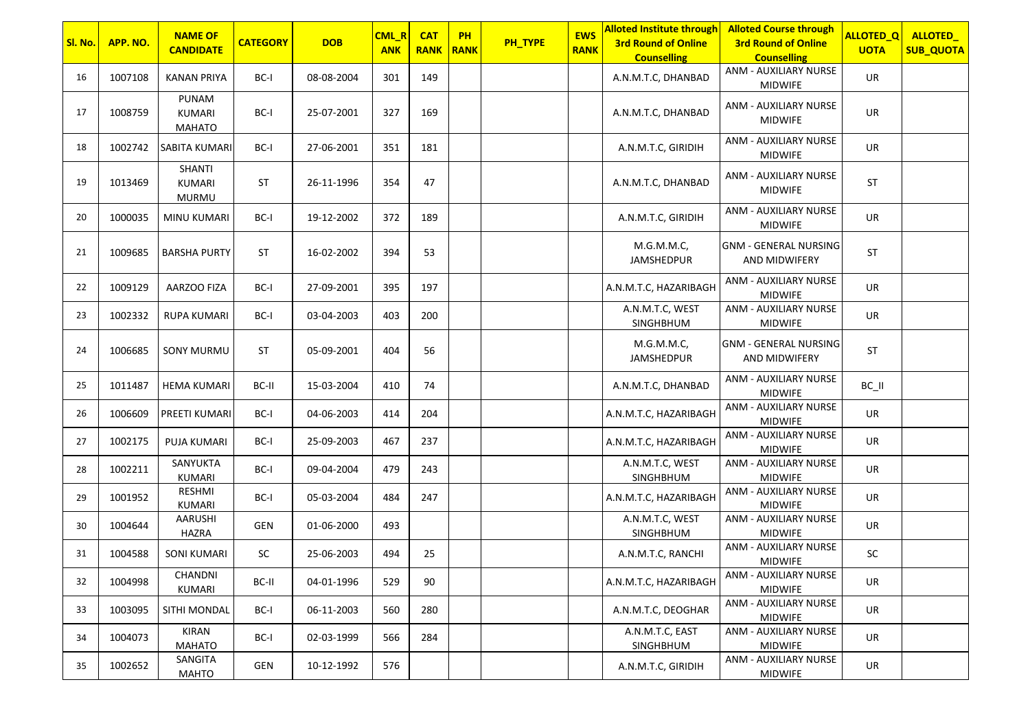| Sl. No. | APP. NO. | <b>NAME OF</b><br><b>CANDIDATE</b>      | <b>CATEGORY</b> | <b>DOB</b> | CML_R<br><b>ANK</b> | <b>CAT</b><br><b>RANK</b> | <b>PH</b><br><b>RANK</b> | PH_TYPE | <b>EWS</b><br><b>RANK</b> | <b>Alloted Institute through</b><br><b>3rd Round of Online</b><br><b>Counselling</b> | <b>Alloted Course through</b><br><b>3rd Round of Online</b><br><b>Counselling</b> | <b>ALLOTED_Q</b><br><b>UOTA</b> | ALLOTED_<br><b>SUB_QUOTA</b> |
|---------|----------|-----------------------------------------|-----------------|------------|---------------------|---------------------------|--------------------------|---------|---------------------------|--------------------------------------------------------------------------------------|-----------------------------------------------------------------------------------|---------------------------------|------------------------------|
| 16      | 1007108  | <b>KANAN PRIYA</b>                      | BC-I            | 08-08-2004 | 301                 | 149                       |                          |         |                           | A.N.M.T.C, DHANBAD                                                                   | ANM - AUXILIARY NURSE<br><b>MIDWIFE</b>                                           | UR                              |                              |
| 17      | 1008759  | PUNAM<br><b>KUMARI</b><br><b>MAHATO</b> | BC-I            | 25-07-2001 | 327                 | 169                       |                          |         |                           | A.N.M.T.C, DHANBAD                                                                   | ANM - AUXILIARY NURSE<br><b>MIDWIFE</b>                                           | UR                              |                              |
| 18      | 1002742  | SABITA KUMARI                           | BC-I            | 27-06-2001 | 351                 | 181                       |                          |         |                           | A.N.M.T.C, GIRIDIH                                                                   | ANM - AUXILIARY NURSE<br><b>MIDWIFE</b>                                           | UR                              |                              |
| 19      | 1013469  | SHANTI<br><b>KUMARI</b><br><b>MURMU</b> | ST              | 26-11-1996 | 354                 | 47                        |                          |         |                           | A.N.M.T.C, DHANBAD                                                                   | ANM - AUXILIARY NURSE<br><b>MIDWIFE</b>                                           | <b>ST</b>                       |                              |
| 20      | 1000035  | MINU KUMARI                             | BC-I            | 19-12-2002 | 372                 | 189                       |                          |         |                           | A.N.M.T.C, GIRIDIH                                                                   | ANM - AUXILIARY NURSE<br><b>MIDWIFE</b>                                           | UR                              |                              |
| 21      | 1009685  | <b>BARSHA PURTY</b>                     | <b>ST</b>       | 16-02-2002 | 394                 | 53                        |                          |         |                           | M.G.M.M.C,<br>JAMSHEDPUR                                                             | <b>GNM - GENERAL NURSING</b><br>AND MIDWIFERY                                     | <b>ST</b>                       |                              |
| 22      | 1009129  | AARZOO FIZA                             | BC-I            | 27-09-2001 | 395                 | 197                       |                          |         |                           | A.N.M.T.C, HAZARIBAGH                                                                | ANM - AUXILIARY NURSE<br><b>MIDWIFE</b>                                           | UR                              |                              |
| 23      | 1002332  | <b>RUPA KUMARI</b>                      | BC-I            | 03-04-2003 | 403                 | 200                       |                          |         |                           | A.N.M.T.C, WEST<br>SINGHBHUM                                                         | ANM - AUXILIARY NURSE<br><b>MIDWIFE</b>                                           | UR                              |                              |
| 24      | 1006685  | <b>SONY MURMU</b>                       | <b>ST</b>       | 05-09-2001 | 404                 | 56                        |                          |         |                           | M.G.M.M.C,<br>JAMSHEDPUR                                                             | <b>GNM - GENERAL NURSING</b><br>AND MIDWIFERY                                     | <b>ST</b>                       |                              |
| 25      | 1011487  | <b>HEMA KUMARI</b>                      | BC-II           | 15-03-2004 | 410                 | 74                        |                          |         |                           | A.N.M.T.C, DHANBAD                                                                   | ANM - AUXILIARY NURSE<br><b>MIDWIFE</b>                                           | BC_II                           |                              |
| 26      | 1006609  | PREETI KUMARI                           | BC-I            | 04-06-2003 | 414                 | 204                       |                          |         |                           | A.N.M.T.C, HAZARIBAGH                                                                | ANM - AUXILIARY NURSE<br><b>MIDWIFE</b>                                           | UR                              |                              |
| 27      | 1002175  | PUJA KUMARI                             | BC-I            | 25-09-2003 | 467                 | 237                       |                          |         |                           | A.N.M.T.C, HAZARIBAGH                                                                | ANM - AUXILIARY NURSE<br><b>MIDWIFE</b>                                           | UR                              |                              |
| 28      | 1002211  | SANYUKTA<br><b>KUMARI</b>               | BC-I            | 09-04-2004 | 479                 | 243                       |                          |         |                           | A.N.M.T.C, WEST<br>SINGHBHUM                                                         | ANM - AUXILIARY NURSE<br><b>MIDWIFE</b>                                           | UR                              |                              |
| 29      | 1001952  | RESHMI<br><b>KUMARI</b>                 | BC-I            | 05-03-2004 | 484                 | 247                       |                          |         |                           | A.N.M.T.C, HAZARIBAGH                                                                | ANM - AUXILIARY NURSE<br><b>MIDWIFE</b>                                           | UR                              |                              |
| 30      | 1004644  | AARUSHI<br>HAZRA                        | GEN             | 01-06-2000 | 493                 |                           |                          |         |                           | A.N.M.T.C, WEST<br>SINGHBHUM                                                         | ANM - AUXILIARY NURSE<br><b>MIDWIFE</b>                                           | UR                              |                              |
| 31      | 1004588  | <b>SONI KUMARI</b>                      | SC              | 25-06-2003 | 494                 | 25                        |                          |         |                           | A.N.M.T.C, RANCHI                                                                    | ANM - AUXILIARY NURSE<br><b>MIDWIFE</b>                                           | SC                              |                              |
| 32      | 1004998  | CHANDNI<br>KUMARI                       | BC-II           | 04-01-1996 | 529                 | 90                        |                          |         |                           | A.N.M.T.C, HAZARIBAGH                                                                | ANM - AUXILIARY NURSE<br><b>MIDWIFE</b>                                           | UR                              |                              |
| 33      | 1003095  | SITHI MONDAL                            | BC-I            | 06-11-2003 | 560                 | 280                       |                          |         |                           | A.N.M.T.C, DEOGHAR                                                                   | ANM - AUXILIARY NURSE<br><b>MIDWIFE</b>                                           | <b>UR</b>                       |                              |
| 34      | 1004073  | KIRAN<br>MAHATO                         | BC-I            | 02-03-1999 | 566                 | 284                       |                          |         |                           | A.N.M.T.C, EAST<br>SINGHBHUM                                                         | ANM - AUXILIARY NURSE<br>MIDWIFE                                                  | UR                              |                              |
| 35      | 1002652  | SANGITA<br>MAHTO                        | GEN             | 10-12-1992 | 576                 |                           |                          |         |                           | A.N.M.T.C, GIRIDIH                                                                   | ANM - AUXILIARY NURSE<br>MIDWIFE                                                  | UR                              |                              |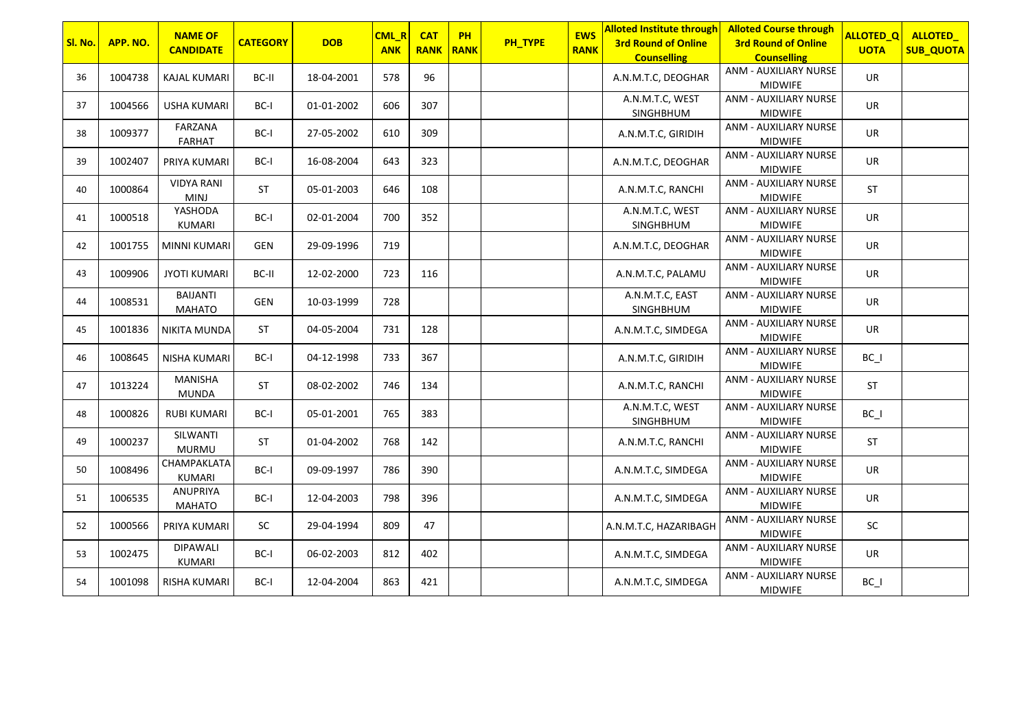|         |          | <b>NAME OF</b>                   |                 |            | CML_R      | <b>CAT</b>  | PH   |         | <b>EWS</b>  | <b>Alloted Institute through</b>                 | <b>Alloted Course through</b>                    | <b>ALLOTED_Q</b> | ALLOTED_         |
|---------|----------|----------------------------------|-----------------|------------|------------|-------------|------|---------|-------------|--------------------------------------------------|--------------------------------------------------|------------------|------------------|
| Sl. No. | APP. NO. | <b>CANDIDATE</b>                 | <b>CATEGORY</b> | <b>DOB</b> | <b>ANK</b> | <b>RANK</b> | RANK | PH_TYPE | <b>RANK</b> | <b>3rd Round of Online</b><br><b>Counselling</b> | <b>3rd Round of Online</b><br><b>Counselling</b> | <b>UOTA</b>      | <b>SUB_QUOTA</b> |
| 36      | 1004738  | <b>KAJAL KUMARI</b>              | BC-II           | 18-04-2001 | 578        | 96          |      |         |             | A.N.M.T.C, DEOGHAR                               | ANM - AUXILIARY NURSE<br><b>MIDWIFE</b>          | UR               |                  |
| 37      | 1004566  | <b>USHA KUMARI</b>               | BC-I            | 01-01-2002 | 606        | 307         |      |         |             | A.N.M.T.C, WEST<br>SINGHBHUM                     | ANM - AUXILIARY NURSE<br><b>MIDWIFE</b>          | UR               |                  |
| 38      | 1009377  | FARZANA<br><b>FARHAT</b>         | BC-I            | 27-05-2002 | 610        | 309         |      |         |             | A.N.M.T.C, GIRIDIH                               | ANM - AUXILIARY NURSE<br><b>MIDWIFE</b>          | <b>UR</b>        |                  |
| 39      | 1002407  | PRIYA KUMARI                     | BC-I            | 16-08-2004 | 643        | 323         |      |         |             | A.N.M.T.C, DEOGHAR                               | ANM - AUXILIARY NURSE<br><b>MIDWIFE</b>          | UR               |                  |
| 40      | 1000864  | <b>VIDYA RANI</b><br><b>MINJ</b> | <b>ST</b>       | 05-01-2003 | 646        | 108         |      |         |             | A.N.M.T.C, RANCHI                                | ANM - AUXILIARY NURSE<br><b>MIDWIFE</b>          | ST               |                  |
| 41      | 1000518  | YASHODA<br>KUMARI                | BC-I            | 02-01-2004 | 700        | 352         |      |         |             | A.N.M.T.C, WEST<br>SINGHBHUM                     | ANM - AUXILIARY NURSE<br><b>MIDWIFE</b>          | UR               |                  |
| 42      | 1001755  | <b>MINNI KUMARI</b>              | GEN             | 29-09-1996 | 719        |             |      |         |             | A.N.M.T.C, DEOGHAR                               | ANM - AUXILIARY NURSE<br><b>MIDWIFE</b>          | UR               |                  |
| 43      | 1009906  | <b>JYOTI KUMARI</b>              | BC-II           | 12-02-2000 | 723        | 116         |      |         |             | A.N.M.T.C, PALAMU                                | ANM - AUXILIARY NURSE<br><b>MIDWIFE</b>          | UR               |                  |
| 44      | 1008531  | <b>BAIJANTI</b><br><b>MAHATO</b> | <b>GEN</b>      | 10-03-1999 | 728        |             |      |         |             | A.N.M.T.C, EAST<br>SINGHBHUM                     | ANM - AUXILIARY NURSE<br><b>MIDWIFE</b>          | UR               |                  |
| 45      | 1001836  | <b>NIKITA MUNDA</b>              | <b>ST</b>       | 04-05-2004 | 731        | 128         |      |         |             | A.N.M.T.C, SIMDEGA                               | <b>ANM - AUXILIARY NURSE</b><br><b>MIDWIFE</b>   | UR               |                  |
| 46      | 1008645  | <b>NISHA KUMARI</b>              | BC-I            | 04-12-1998 | 733        | 367         |      |         |             | A.N.M.T.C, GIRIDIH                               | ANM - AUXILIARY NURSE<br><b>MIDWIFE</b>          | $BC_$            |                  |
| 47      | 1013224  | <b>MANISHA</b><br>MUNDA          | ST              | 08-02-2002 | 746        | 134         |      |         |             | A.N.M.T.C, RANCHI                                | ANM - AUXILIARY NURSE<br><b>MIDWIFE</b>          | ST               |                  |
| 48      | 1000826  | <b>RUBI KUMARI</b>               | BC-I            | 05-01-2001 | 765        | 383         |      |         |             | A.N.M.T.C, WEST<br>SINGHBHUM                     | ANM - AUXILIARY NURSE<br><b>MIDWIFE</b>          | $BC_$            |                  |
| 49      | 1000237  | SILWANTI<br><b>MURMU</b>         | <b>ST</b>       | 01-04-2002 | 768        | 142         |      |         |             | A.N.M.T.C, RANCHI                                | ANM - AUXILIARY NURSE<br><b>MIDWIFE</b>          | <b>ST</b>        |                  |
| 50      | 1008496  | CHAMPAKLATA<br>KUMARI            | BC-I            | 09-09-1997 | 786        | 390         |      |         |             | A.N.M.T.C, SIMDEGA                               | ANM - AUXILIARY NURSE<br><b>MIDWIFE</b>          | UR               |                  |
| 51      | 1006535  | ANUPRIYA<br><b>MAHATO</b>        | BC-I            | 12-04-2003 | 798        | 396         |      |         |             | A.N.M.T.C, SIMDEGA                               | ANM - AUXILIARY NURSE<br><b>MIDWIFE</b>          | UR               |                  |
| 52      | 1000566  | PRIYA KUMARI                     | SC              | 29-04-1994 | 809        | 47          |      |         |             | A.N.M.T.C, HAZARIBAGH                            | ANM - AUXILIARY NURSE<br><b>MIDWIFE</b>          | SC               |                  |
| 53      | 1002475  | <b>DIPAWALI</b><br>KUMARI        | BC-I            | 06-02-2003 | 812        | 402         |      |         |             | A.N.M.T.C, SIMDEGA                               | ANM - AUXILIARY NURSE<br><b>MIDWIFE</b>          | UR               |                  |
| 54      | 1001098  | RISHA KUMARI                     | BC-I            | 12-04-2004 | 863        | 421         |      |         |             | A.N.M.T.C, SIMDEGA                               | ANM - AUXILIARY NURSE<br><b>MIDWIFE</b>          | $BC_$            |                  |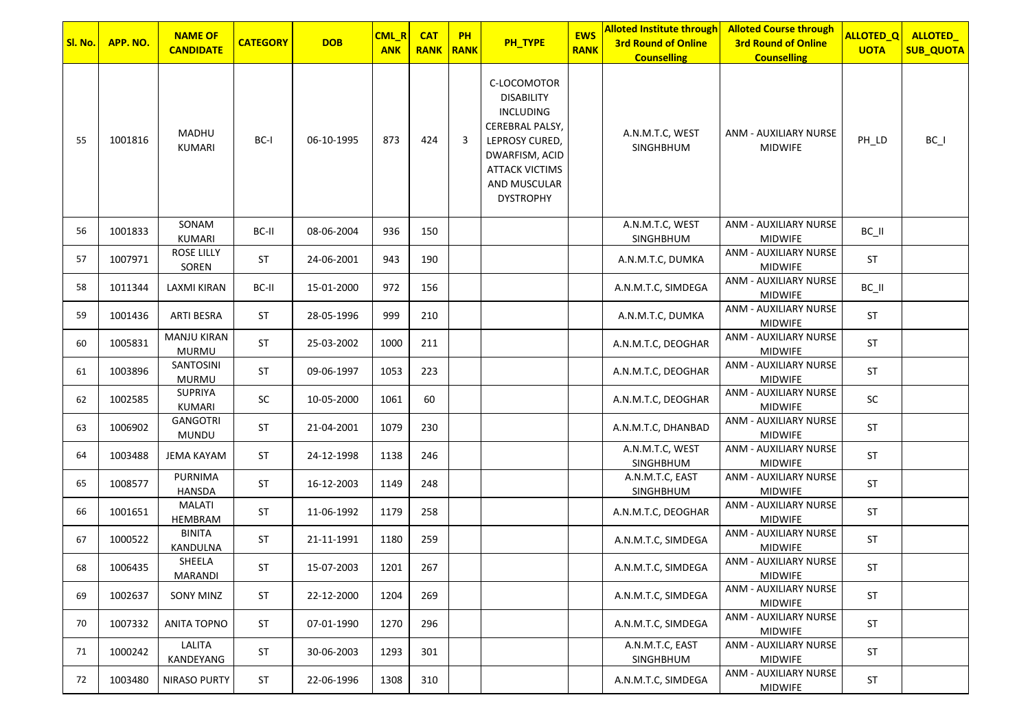| Sl. No. | APP. NO. | <b>NAME OF</b>              | <b>CATEGORY</b> | <b>DOB</b> | CML_R      | <b>CAT</b>  | <b>PH</b>   | PH_TYPE                                                                                                                                                                  | <b>EWS</b>  | <b>Alloted Institute through</b><br><b>3rd Round of Online</b> | <b>Alloted Course through</b><br><b>3rd Round of Online</b> | <b>ALLOTED_Q</b> | ALLOTED_         |
|---------|----------|-----------------------------|-----------------|------------|------------|-------------|-------------|--------------------------------------------------------------------------------------------------------------------------------------------------------------------------|-------------|----------------------------------------------------------------|-------------------------------------------------------------|------------------|------------------|
|         |          | <b>CANDIDATE</b>            |                 |            | <b>ANK</b> | <b>RANK</b> | <b>RANK</b> |                                                                                                                                                                          | <b>RANK</b> | <b>Counselling</b>                                             | <b>Counselling</b>                                          | <b>UOTA</b>      | <b>SUB_QUOTA</b> |
| 55      | 1001816  | MADHU<br>KUMARI             | BC-I            | 06-10-1995 | 873        | 424         | 3           | C-LOCOMOTOR<br><b>DISABILITY</b><br><b>INCLUDING</b><br>CEREBRAL PALSY,<br>LEPROSY CURED,<br>DWARFISM, ACID<br><b>ATTACK VICTIMS</b><br>AND MUSCULAR<br><b>DYSTROPHY</b> |             | A.N.M.T.C, WEST<br>SINGHBHUM                                   | ANM - AUXILIARY NURSE<br><b>MIDWIFE</b>                     | PH_LD            | $BC_$            |
| 56      | 1001833  | SONAM<br>KUMARI             | BC-II           | 08-06-2004 | 936        | 150         |             |                                                                                                                                                                          |             | A.N.M.T.C, WEST                                                | ANM - AUXILIARY NURSE<br><b>MIDWIFE</b>                     | $BC$ $II$        |                  |
| 57      | 1007971  | <b>ROSE LILLY</b><br>SOREN  | ST              | 24-06-2001 | 943        | 190         |             |                                                                                                                                                                          |             | SINGHBHUM<br>A.N.M.T.C, DUMKA                                  | ANM - AUXILIARY NURSE<br><b>MIDWIFE</b>                     | <b>ST</b>        |                  |
| 58      | 1011344  | LAXMI KIRAN                 | BC-II           | 15-01-2000 | 972        | 156         |             |                                                                                                                                                                          |             | A.N.M.T.C, SIMDEGA                                             | ANM - AUXILIARY NURSE<br><b>MIDWIFE</b>                     | BC_II            |                  |
| 59      | 1001436  | ARTI BESRA                  | <b>ST</b>       | 28-05-1996 | 999        | 210         |             |                                                                                                                                                                          |             | A.N.M.T.C, DUMKA                                               | ANM - AUXILIARY NURSE<br><b>MIDWIFE</b>                     | ST               |                  |
| 60      | 1005831  | <b>MANJU KIRAN</b><br>MURMU | <b>ST</b>       | 25-03-2002 | 1000       | 211         |             |                                                                                                                                                                          |             | A.N.M.T.C, DEOGHAR                                             | ANM - AUXILIARY NURSE<br><b>MIDWIFE</b>                     | <b>ST</b>        |                  |
| 61      | 1003896  | SANTOSINI<br><b>MURMU</b>   | <b>ST</b>       | 09-06-1997 | 1053       | 223         |             |                                                                                                                                                                          |             | A.N.M.T.C, DEOGHAR                                             | ANM - AUXILIARY NURSE<br><b>MIDWIFE</b>                     | <b>ST</b>        |                  |
| 62      | 1002585  | <b>SUPRIYA</b><br>KUMARI    | <b>SC</b>       | 10-05-2000 | 1061       | 60          |             |                                                                                                                                                                          |             | A.N.M.T.C, DEOGHAR                                             | ANM - AUXILIARY NURSE<br><b>MIDWIFE</b>                     | SC               |                  |
| 63      | 1006902  | GANGOTRI<br><b>MUNDU</b>    | ST              | 21-04-2001 | 1079       | 230         |             |                                                                                                                                                                          |             | A.N.M.T.C, DHANBAD                                             | ANM - AUXILIARY NURSE<br><b>MIDWIFE</b>                     | <b>ST</b>        |                  |
| 64      | 1003488  | <b>JEMA KAYAM</b>           | <b>ST</b>       | 24-12-1998 | 1138       | 246         |             |                                                                                                                                                                          |             | A.N.M.T.C, WEST<br>SINGHBHUM                                   | ANM - AUXILIARY NURSE<br><b>MIDWIFE</b>                     | <b>ST</b>        |                  |
| 65      | 1008577  | PURNIMA<br>HANSDA           | <b>ST</b>       | 16-12-2003 | 1149       | 248         |             |                                                                                                                                                                          |             | A.N.M.T.C, EAST<br>SINGHBHUM                                   | ANM - AUXILIARY NURSE<br><b>MIDWIFE</b>                     | ST               |                  |
| 66      | 1001651  | MALATI<br>HEMBRAM           | <b>ST</b>       | 11-06-1992 | 1179       | 258         |             |                                                                                                                                                                          |             | A.N.M.T.C, DEOGHAR                                             | ANM - AUXILIARY NURSE<br><b>MIDWIFE</b>                     | ST               |                  |
| 67      | 1000522  | <b>BINITA</b><br>KANDULNA   | <b>ST</b>       | 21-11-1991 | 1180       | 259         |             |                                                                                                                                                                          |             | A.N.M.T.C, SIMDEGA                                             | ANM - AUXILIARY NURSE<br><b>MIDWIFE</b>                     | ST               |                  |
| 68      | 1006435  | SHEELA<br>MARANDI           | ST              | 15-07-2003 | 1201       | 267         |             |                                                                                                                                                                          |             | A.N.M.T.C, SIMDEGA                                             | ANM - AUXILIARY NURSE<br><b>MIDWIFE</b>                     | <b>ST</b>        |                  |
| 69      | 1002637  | SONY MINZ                   | ST              | 22-12-2000 | 1204       | 269         |             |                                                                                                                                                                          |             | A.N.M.T.C, SIMDEGA                                             | ANM - AUXILIARY NURSE<br><b>MIDWIFE</b>                     | ST               |                  |
| 70      | 1007332  | ANITA TOPNO                 | <b>ST</b>       | 07-01-1990 | 1270       | 296         |             |                                                                                                                                                                          |             | A.N.M.T.C, SIMDEGA                                             | ANM - AUXILIARY NURSE<br><b>MIDWIFE</b>                     | ST               |                  |
| 71      | 1000242  | LALITA<br>KANDEYANG         | ST              | 30-06-2003 | 1293       | 301         |             |                                                                                                                                                                          |             | A.N.M.T.C, EAST<br>SINGHBHUM                                   | ANM - AUXILIARY NURSE<br><b>MIDWIFE</b>                     | ST               |                  |
| 72      | 1003480  | <b>NIRASO PURTY</b>         | ST              | 22-06-1996 | 1308       | 310         |             |                                                                                                                                                                          |             | A.N.M.T.C, SIMDEGA                                             | ANM - AUXILIARY NURSE<br><b>MIDWIFE</b>                     | <b>ST</b>        |                  |